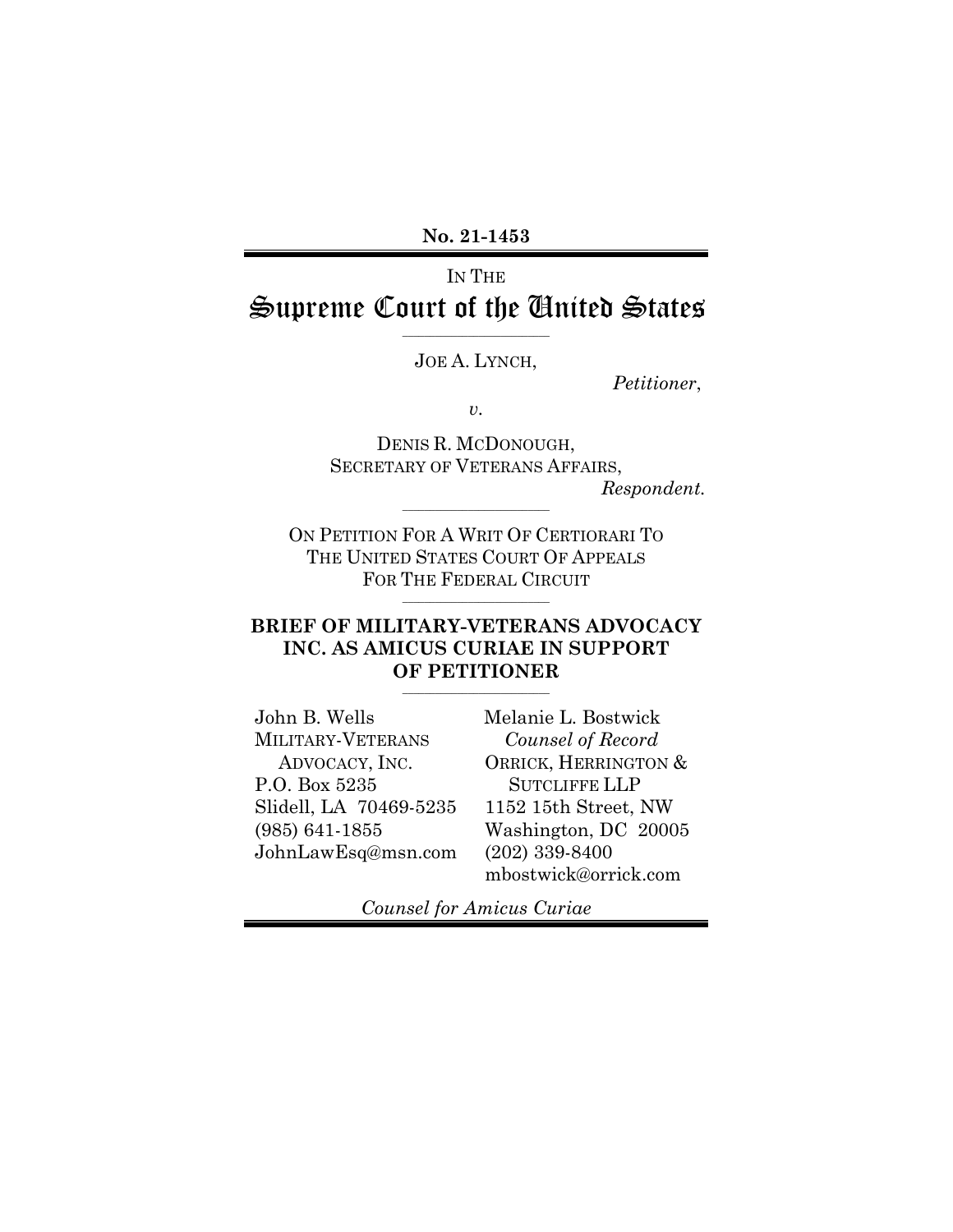**No. 21-1453**

# IN THE Supreme Court of the United States

 $\_$ JOE A. LYNCH,

*Petitioner*,

*v.*

DENIS R. MCDONOUGH, SECRETARY OF VETERANS AFFAIRS,

*Respondent.*

ON PETITION FOR A WRIT OF CERTIORARI TO THE UNITED STATES COURT OF APPEALS FOR THE FEDERAL CIRCUIT

 $\_$ 

 $\overline{\phantom{a}}$  , where  $\overline{\phantom{a}}$  , where  $\overline{\phantom{a}}$  , where  $\overline{\phantom{a}}$ 

### **BRIEF OF MILITARY-VETERANS ADVOCACY INC. AS AMICUS CURIAE IN SUPPORT OF PETITIONER**

\_\_\_\_\_\_\_\_\_\_\_\_\_\_\_\_\_\_\_\_\_\_\_\_\_\_\_

John B. Wells MILITARY-VETERANS ADVOCACY, INC. P.O. Box 5235 Slidell, LA 70469-5235 (985) 641-1855 JohnLawEsq@msn.com Melanie L. Bostwick *Counsel of Record* ORRICK, HERRINGTON & SUTCLIFFE LLP 1152 15th Street, NW Washington, DC 20005 (202) 339-8400 mbostwick@orrick.com

*Counsel for Amicus Curiae*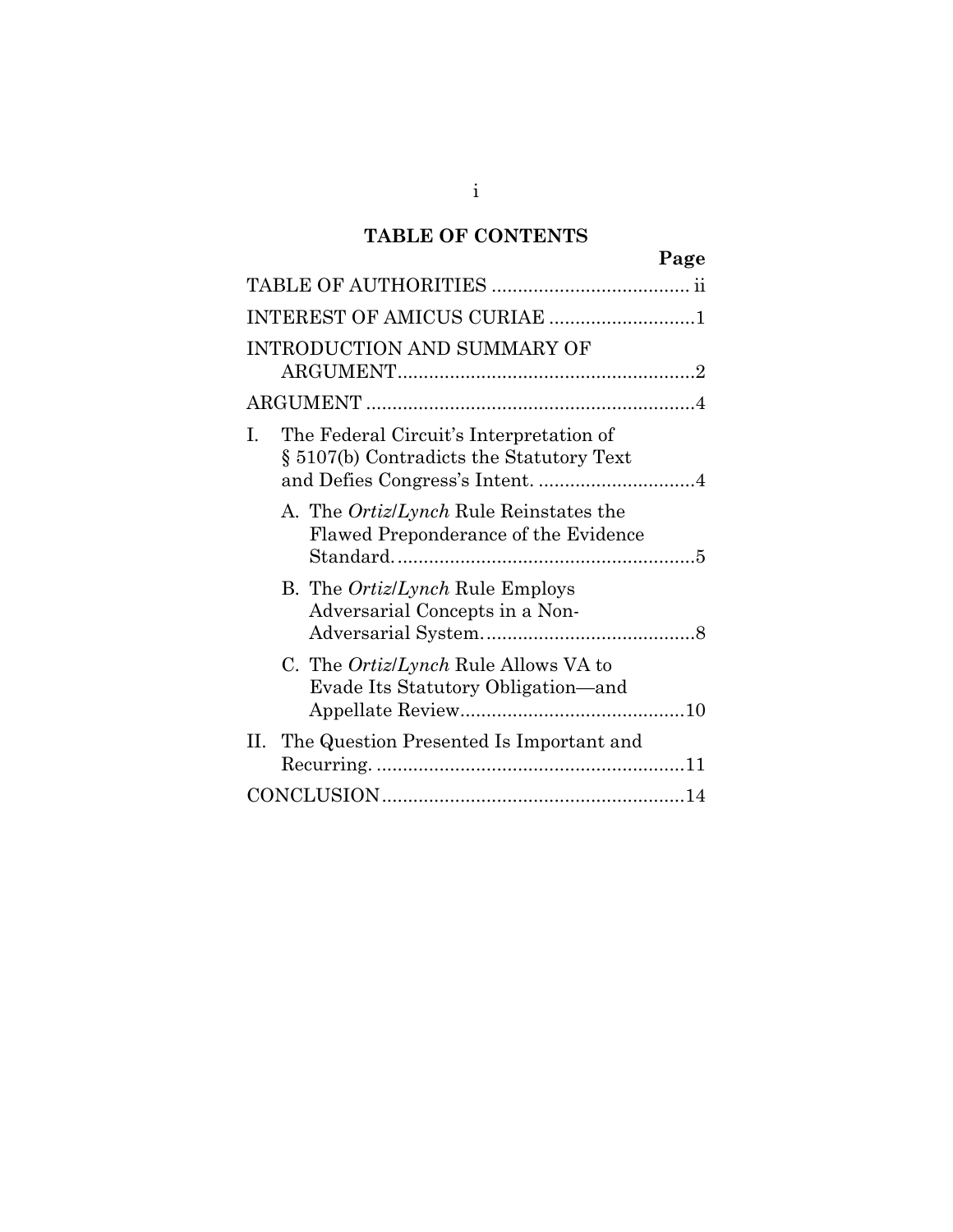# **TABLE OF CONTENTS**

| Page                                                                                      |
|-------------------------------------------------------------------------------------------|
|                                                                                           |
| INTEREST OF AMICUS CURIAE 1                                                               |
| <b>INTRODUCTION AND SUMMARY OF</b>                                                        |
|                                                                                           |
| The Federal Circuit's Interpretation of<br>I.<br>§ 5107(b) Contradicts the Statutory Text |
| A. The <i>Ortiz/Lynch</i> Rule Reinstates the<br>Flawed Preponderance of the Evidence     |
| B. The <i>Ortiz/Lynch</i> Rule Employs<br>Adversarial Concepts in a Non-                  |
| C. The <i>Ortiz/Lynch</i> Rule Allows VA to<br>Evade Its Statutory Obligation-and         |
| II. The Question Presented Is Important and                                               |
|                                                                                           |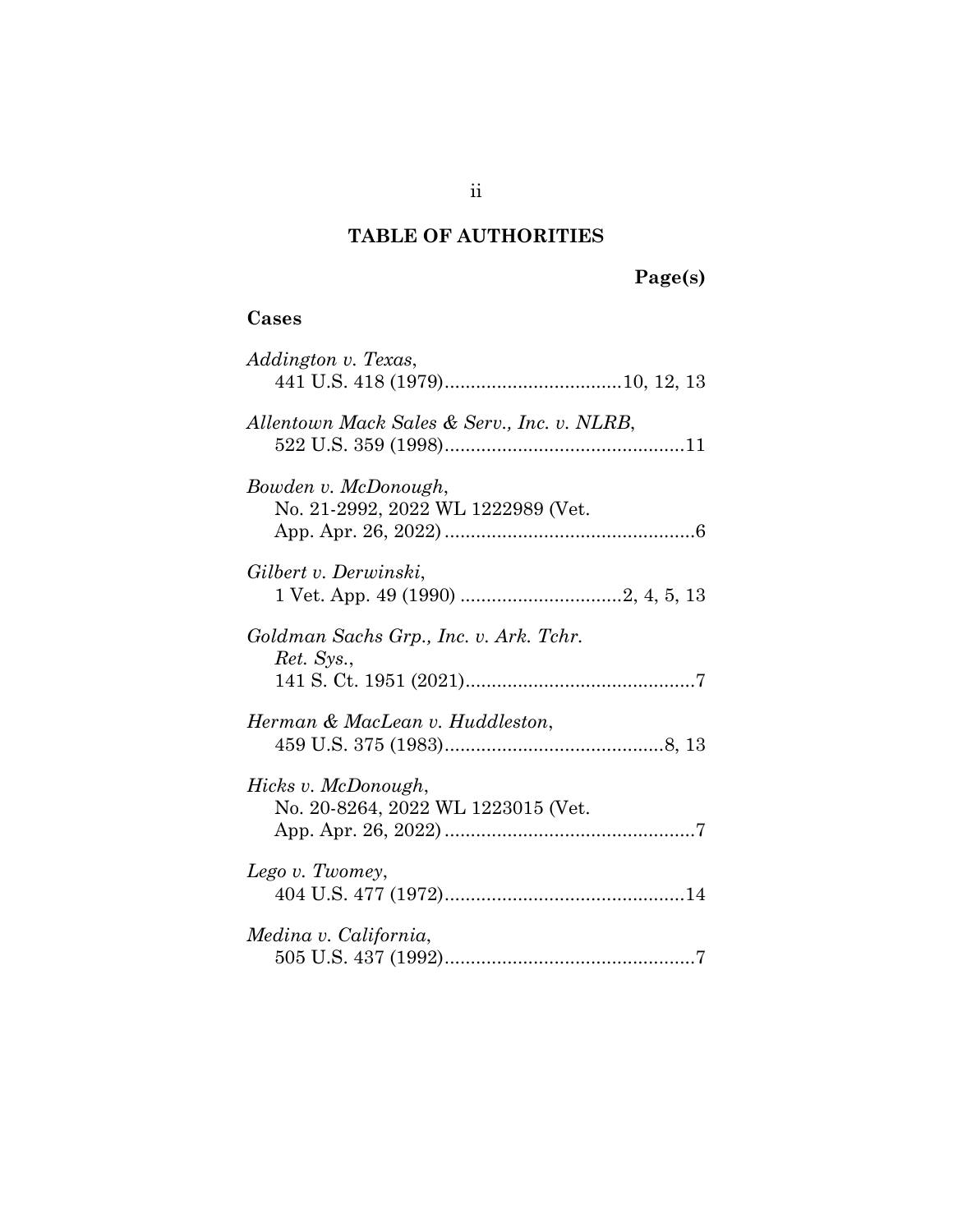# **TABLE OF AUTHORITIES**

# **Page(s)**

## <span id="page-2-0"></span>**Cases**

| Addington v. Texas,                                        |
|------------------------------------------------------------|
| Allentown Mack Sales & Serv., Inc. v. NLRB,                |
| Bowden v. McDonough,<br>No. 21-2992, 2022 WL 1222989 (Vet. |
| Gilbert v. Derwinski,                                      |
| Goldman Sachs Grp., Inc. v. Ark. Tchr.<br>Ret. Sys.,       |
| Herman & MacLean v. Huddleston,                            |
| Hicks v. McDonough,<br>No. 20-8264, 2022 WL 1223015 (Vet.  |
| Lego v. Twomey,                                            |
| Medina v. California,                                      |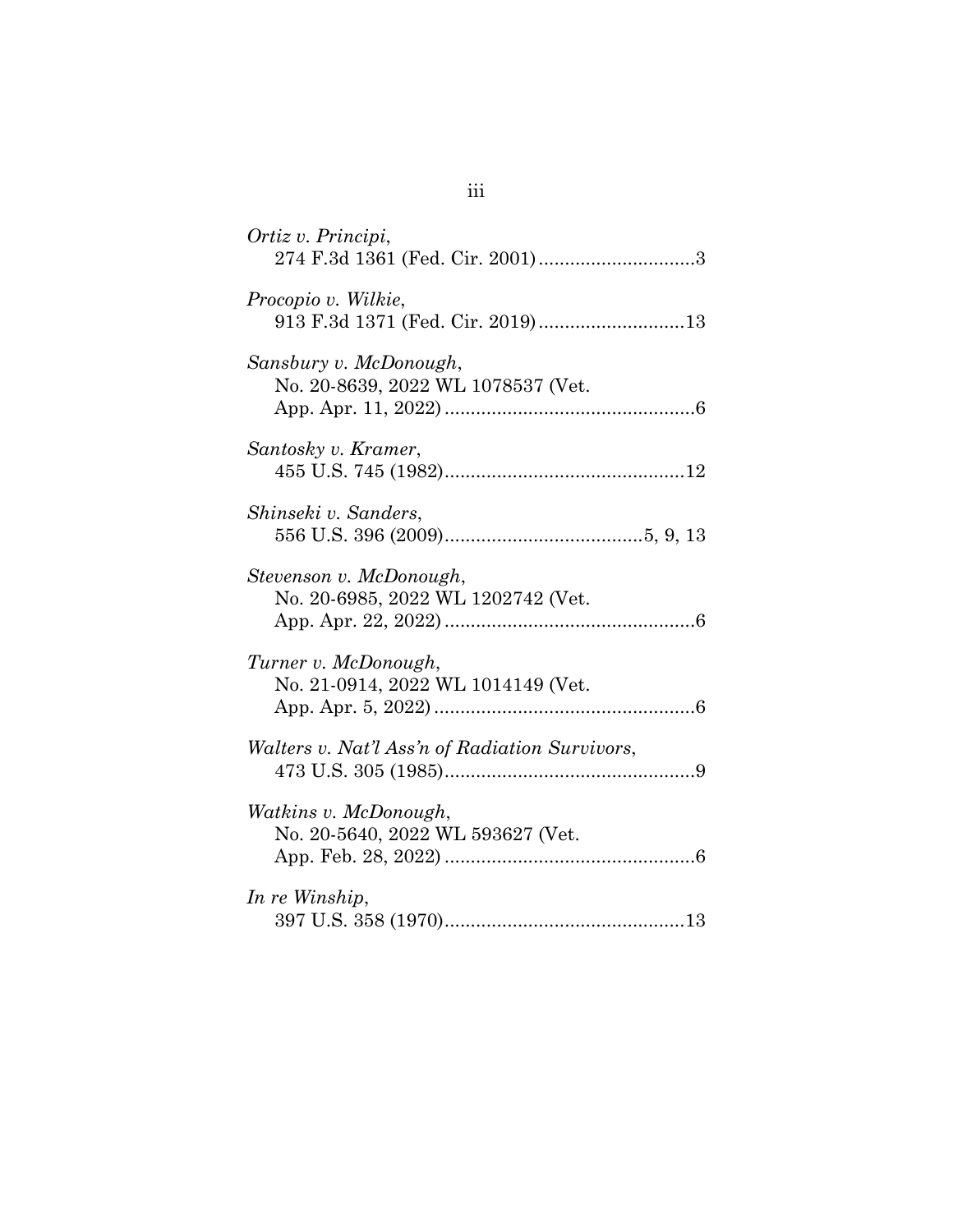| Ortiz v. Principi,                                            |
|---------------------------------------------------------------|
| Procopio v. Wilkie,<br>913 F.3d 1371 (Fed. Cir. 2019)13       |
| Sansbury v. McDonough,<br>No. 20-8639, 2022 WL 1078537 (Vet.  |
| Santosky v. Kramer,                                           |
| Shinseki v. Sanders,                                          |
| Stevenson v. McDonough,<br>No. 20-6985, 2022 WL 1202742 (Vet. |
| Turner v. McDonough,<br>No. 21-0914, 2022 WL 1014149 (Vet.    |
| <i>Walters v. Nat'l Ass'n of Radiation Survivors,</i>         |
| Watkins v. McDonough,<br>No. 20-5640, 2022 WL 593627 (Vet.    |
| In re Winship,                                                |

iii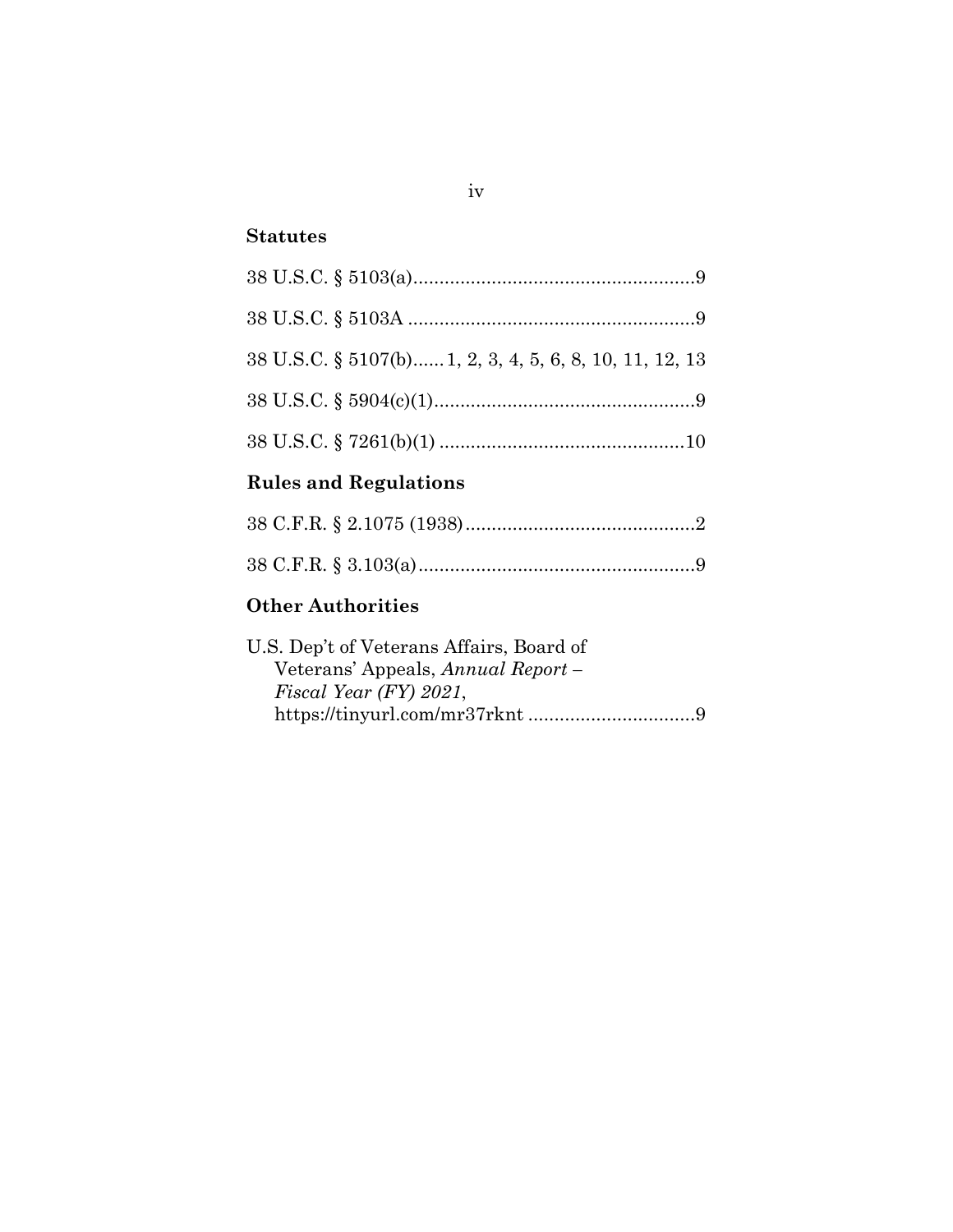## **Statutes**

| 38 U.S.C. § 5107(b) 1, 2, 3, 4, 5, 6, 8, 10, 11, 12, 13 |  |
|---------------------------------------------------------|--|
|                                                         |  |
|                                                         |  |

# **Rules and Regulations**

# **Other Authorities**

| U.S. Dep't of Veterans Affairs, Board of |  |
|------------------------------------------|--|
| Veterans' Appeals, Annual Report –       |  |
| $FixedYear$ (FY) 2021,                   |  |
|                                          |  |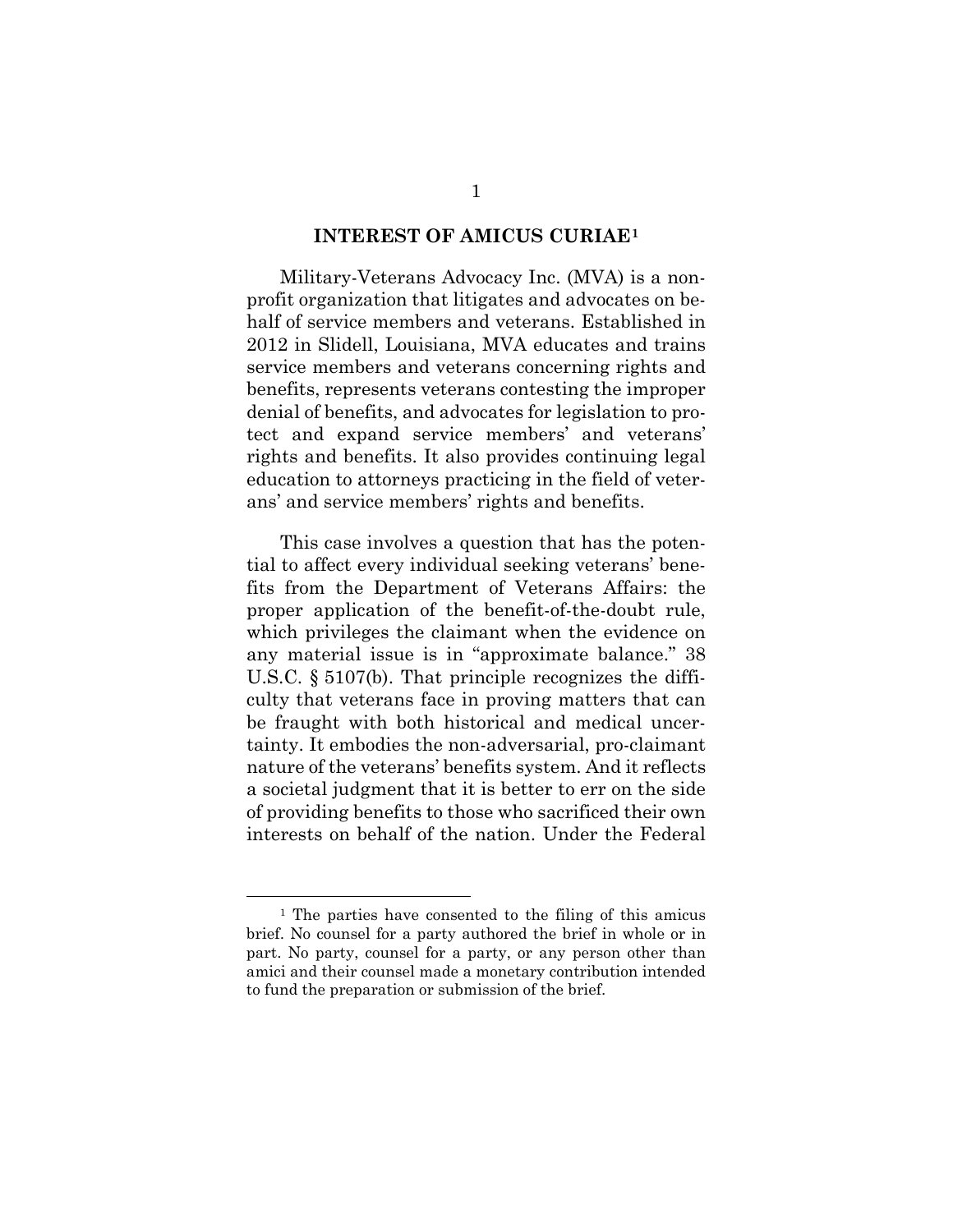#### **INTEREST OF AMICUS CURIAE[1](#page-5-2)**

<span id="page-5-0"></span>Military-Veterans Advocacy Inc. (MVA) is a nonprofit organization that litigates and advocates on behalf of service members and veterans. Established in 2012 in Slidell, Louisiana, MVA educates and trains service members and veterans concerning rights and benefits, represents veterans contesting the improper denial of benefits, and advocates for legislation to protect and expand service members' and veterans' rights and benefits. It also provides continuing legal education to attorneys practicing in the field of veterans' and service members' rights and benefits.

<span id="page-5-1"></span>This case involves a question that has the potential to affect every individual seeking veterans' benefits from the Department of Veterans Affairs: the proper application of the benefit-of-the-doubt rule, which privileges the claimant when the evidence on any material issue is in "approximate balance." 38 U.S.C. § 5107(b). That principle recognizes the difficulty that veterans face in proving matters that can be fraught with both historical and medical uncertainty. It embodies the non-adversarial, pro-claimant nature of the veterans' benefits system. And it reflects a societal judgment that it is better to err on the side of providing benefits to those who sacrificed their own interests on behalf of the nation. Under the Federal

<span id="page-5-2"></span><sup>1</sup> The parties have consented to the filing of this amicus brief. No counsel for a party authored the brief in whole or in part. No party, counsel for a party, or any person other than amici and their counsel made a monetary contribution intended to fund the preparation or submission of the brief.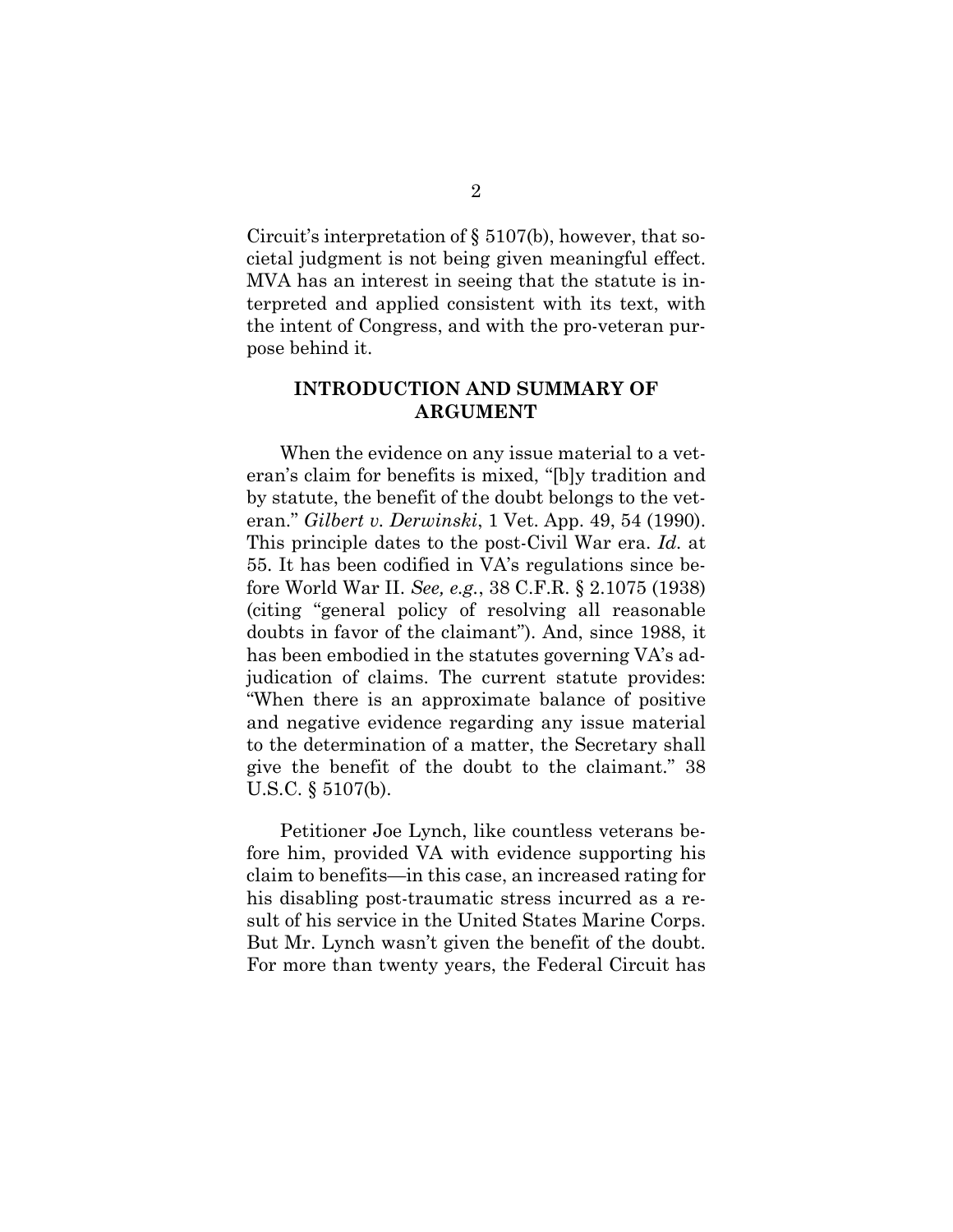<span id="page-6-2"></span>Circuit's interpretation of § 5107(b), however, that societal judgment is not being given meaningful effect. MVA has an interest in seeing that the statute is interpreted and applied consistent with its text, with the intent of Congress, and with the pro-veteran purpose behind it.

### <span id="page-6-3"></span><span id="page-6-0"></span>**INTRODUCTION AND SUMMARY OF ARGUMENT**

<span id="page-6-1"></span>When the evidence on any issue material to a veteran's claim for benefits is mixed, "[b]y tradition and by statute, the benefit of the doubt belongs to the veteran." *Gilbert v. Derwinski*, 1 Vet. App. 49, 54 (1990). This principle dates to the post-Civil War era. *Id.* at 55. It has been codified in VA's regulations since before World War II. *See, e.g.*, 38 C.F.R. § 2.1075 (1938) (citing "general policy of resolving all reasonable doubts in favor of the claimant"). And, since 1988, it has been embodied in the statutes governing VA's adjudication of claims. The current statute provides: "When there is an approximate balance of positive and negative evidence regarding any issue material to the determination of a matter, the Secretary shall give the benefit of the doubt to the claimant." 38 U.S.C. § 5107(b).

Petitioner Joe Lynch, like countless veterans before him, provided VA with evidence supporting his claim to benefits—in this case, an increased rating for his disabling post-traumatic stress incurred as a result of his service in the United States Marine Corps. But Mr. Lynch wasn't given the benefit of the doubt. For more than twenty years, the Federal Circuit has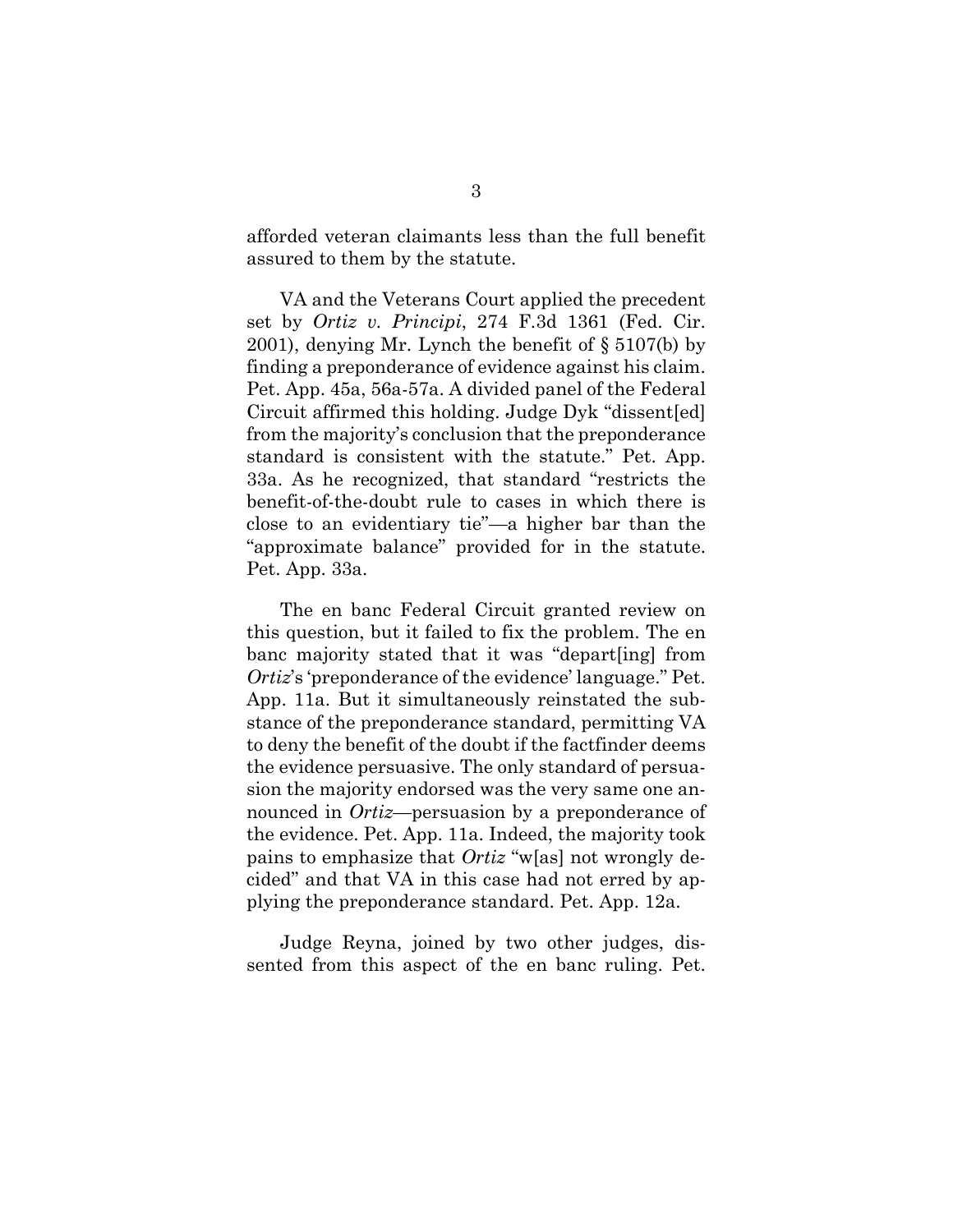afforded veteran claimants less than the full benefit assured to them by the statute.

<span id="page-7-1"></span><span id="page-7-0"></span>VA and the Veterans Court applied the precedent set by *Ortiz v. Principi*, 274 F.3d 1361 (Fed. Cir. 2001), denying Mr. Lynch the benefit of § 5107(b) by finding a preponderance of evidence against his claim. Pet. App. 45a, 56a-57a. A divided panel of the Federal Circuit affirmed this holding. Judge Dyk "dissent[ed] from the majority's conclusion that the preponderance standard is consistent with the statute." Pet. App. 33a. As he recognized, that standard "restricts the benefit-of-the-doubt rule to cases in which there is close to an evidentiary tie"—a higher bar than the "approximate balance" provided for in the statute. Pet. App. 33a.

The en banc Federal Circuit granted review on this question, but it failed to fix the problem. The en banc majority stated that it was "depart[ing] from *Ortiz*'s 'preponderance of the evidence' language." Pet. App. 11a. But it simultaneously reinstated the substance of the preponderance standard, permitting VA to deny the benefit of the doubt if the factfinder deems the evidence persuasive. The only standard of persuasion the majority endorsed was the very same one announced in *Ortiz*—persuasion by a preponderance of the evidence. Pet. App. 11a. Indeed, the majority took pains to emphasize that *Ortiz* "w[as] not wrongly decided" and that VA in this case had not erred by applying the preponderance standard. Pet. App. 12a.

Judge Reyna, joined by two other judges, dissented from this aspect of the en banc ruling. Pet.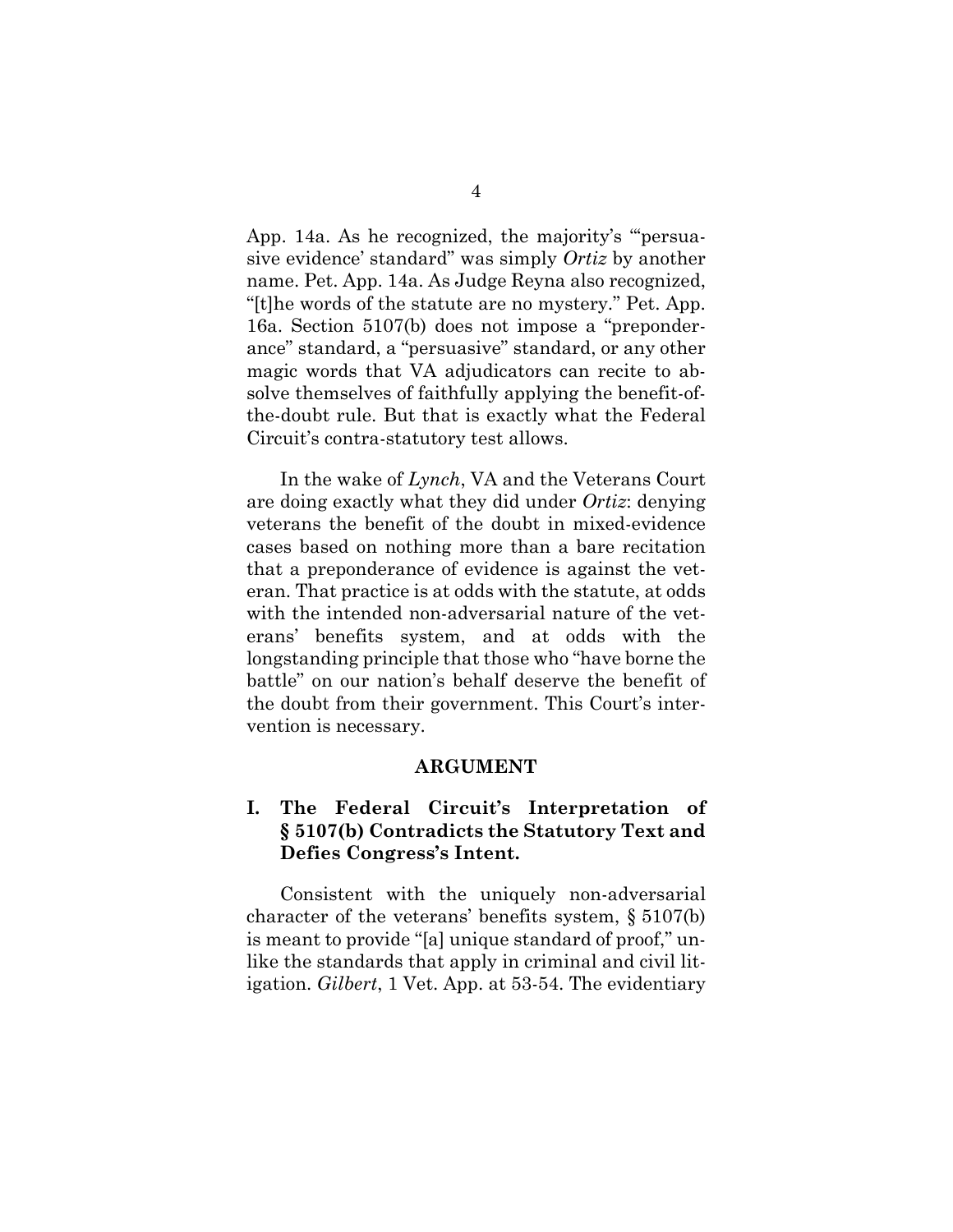<span id="page-8-3"></span>App. 14a. As he recognized, the majority's "'persuasive evidence' standard" was simply *Ortiz* by another name. Pet. App. 14a. As Judge Reyna also recognized, "[t]he words of the statute are no mystery." Pet. App. 16a. Section 5107(b) does not impose a "preponderance" standard, a "persuasive" standard, or any other magic words that VA adjudicators can recite to absolve themselves of faithfully applying the benefit-ofthe-doubt rule. But that is exactly what the Federal Circuit's contra-statutory test allows.

In the wake of *Lynch*, VA and the Veterans Court are doing exactly what they did under *Ortiz*: denying veterans the benefit of the doubt in mixed-evidence cases based on nothing more than a bare recitation that a preponderance of evidence is against the veteran. That practice is at odds with the statute, at odds with the intended non-adversarial nature of the veterans' benefits system, and at odds with the longstanding principle that those who "have borne the battle" on our nation's behalf deserve the benefit of the doubt from their government. This Court's intervention is necessary.

#### **ARGUMENT**

### <span id="page-8-1"></span><span id="page-8-0"></span>**I. The Federal Circuit's Interpretation of § 5107(b) Contradicts the Statutory Text and Defies Congress's Intent.**

<span id="page-8-2"></span>Consistent with the uniquely non-adversarial character of the veterans' benefits system, § 5107(b) is meant to provide "[a] unique standard of proof," unlike the standards that apply in criminal and civil litigation. *Gilbert*, 1 Vet. App. at 53-54. The evidentiary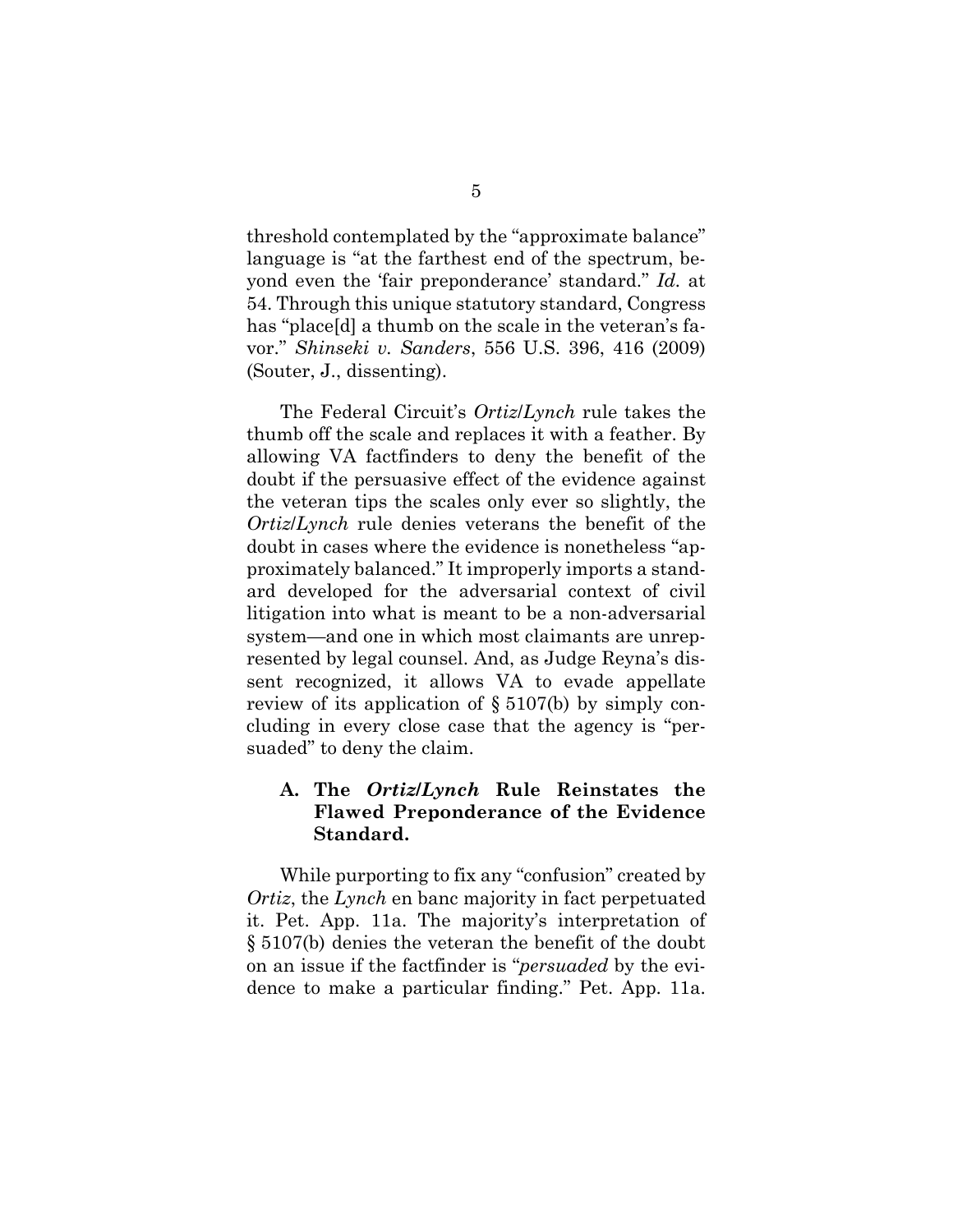<span id="page-9-1"></span>threshold contemplated by the "approximate balance" language is "at the farthest end of the spectrum, beyond even the 'fair preponderance' standard." *Id.* at 54. Through this unique statutory standard, Congress has "place[d] a thumb on the scale in the veteran's favor." *Shinseki v. Sanders*, 556 U.S. 396, 416 (2009) (Souter, J., dissenting).

<span id="page-9-2"></span>The Federal Circuit's *Ortiz*/*Lynch* rule takes the thumb off the scale and replaces it with a feather. By allowing VA factfinders to deny the benefit of the doubt if the persuasive effect of the evidence against the veteran tips the scales only ever so slightly, the *Ortiz*/*Lynch* rule denies veterans the benefit of the doubt in cases where the evidence is nonetheless "approximately balanced." It improperly imports a standard developed for the adversarial context of civil litigation into what is meant to be a non-adversarial system—and one in which most claimants are unrepresented by legal counsel. And, as Judge Reyna's dissent recognized, it allows VA to evade appellate review of its application of  $\S 5107(b)$  by simply concluding in every close case that the agency is "persuaded" to deny the claim.

### <span id="page-9-3"></span><span id="page-9-0"></span>**A. The** *Ortiz***/***Lynch* **Rule Reinstates the Flawed Preponderance of the Evidence Standard.**

While purporting to fix any "confusion" created by *Ortiz*, the *Lynch* en banc majority in fact perpetuated it. Pet. App. 11a. The majority's interpretation of § 5107(b) denies the veteran the benefit of the doubt on an issue if the factfinder is "*persuaded* by the evidence to make a particular finding." Pet. App. 11a.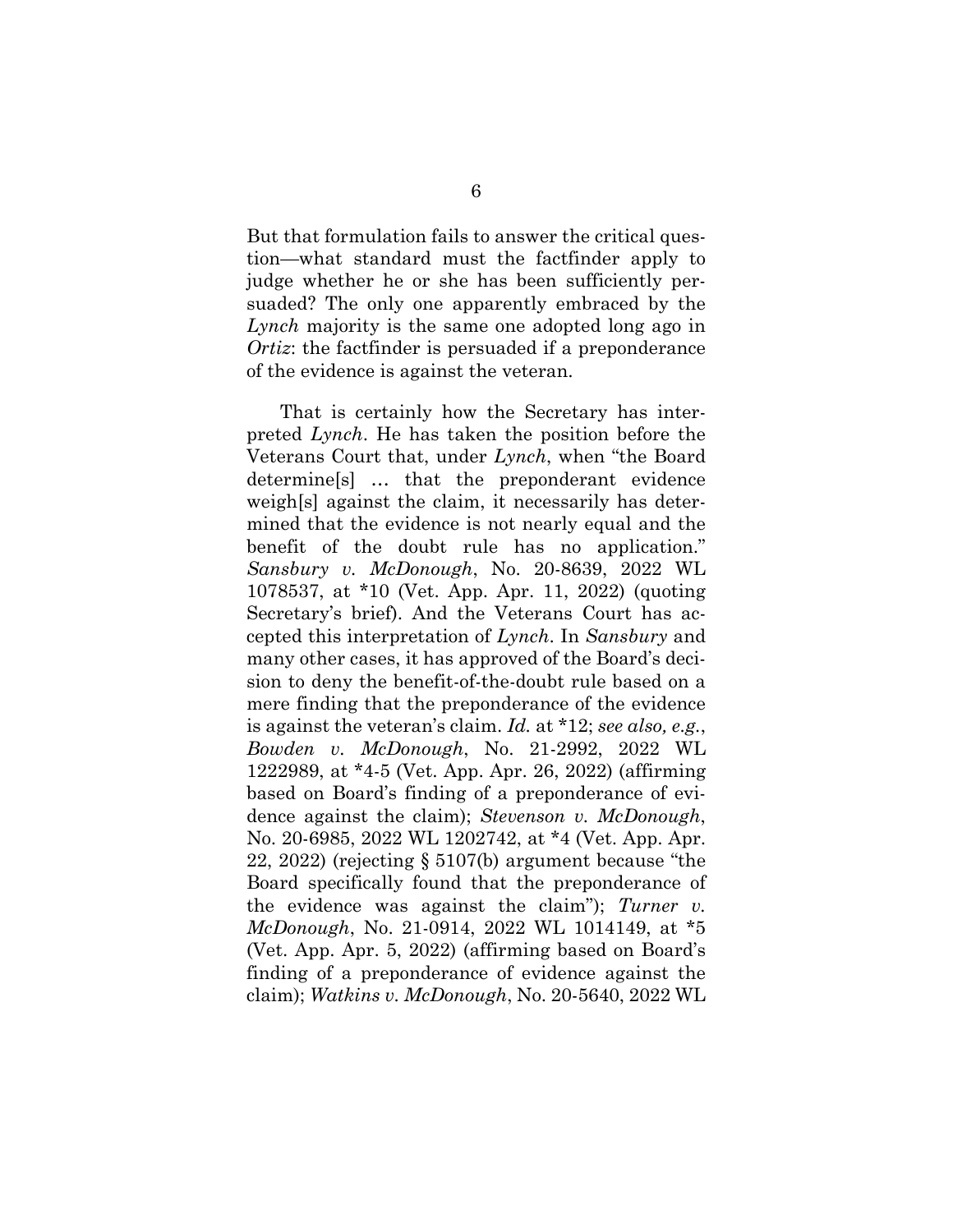But that formulation fails to answer the critical question—what standard must the factfinder apply to judge whether he or she has been sufficiently persuaded? The only one apparently embraced by the *Lynch* majority is the same one adopted long ago in *Ortiz*: the factfinder is persuaded if a preponderance of the evidence is against the veteran.

<span id="page-10-5"></span><span id="page-10-4"></span><span id="page-10-3"></span><span id="page-10-2"></span><span id="page-10-1"></span><span id="page-10-0"></span>That is certainly how the Secretary has interpreted *Lynch*. He has taken the position before the Veterans Court that, under *Lynch*, when "the Board determine[s] … that the preponderant evidence weigh[s] against the claim, it necessarily has determined that the evidence is not nearly equal and the benefit of the doubt rule has no application." *Sansbury v. McDonough*, No. 20-8639, 2022 WL 1078537, at \*10 (Vet. App. Apr. 11, 2022) (quoting Secretary's brief). And the Veterans Court has accepted this interpretation of *Lynch*. In *Sansbury* and many other cases, it has approved of the Board's decision to deny the benefit-of-the-doubt rule based on a mere finding that the preponderance of the evidence is against the veteran's claim. *Id.* at \*12; *see also, e.g.*, *Bowden v. McDonough*, No. 21-2992, 2022 WL 1222989, at \*4-5 (Vet. App. Apr. 26, 2022) (affirming based on Board's finding of a preponderance of evidence against the claim); *Stevenson v. McDonough*, No. 20-6985, 2022 WL 1202742, at \*4 (Vet. App. Apr. 22, 2022) (rejecting § 5107(b) argument because "the Board specifically found that the preponderance of the evidence was against the claim"); *Turner v. McDonough*, No. 21-0914, 2022 WL 1014149, at \*5 (Vet. App. Apr. 5, 2022) (affirming based on Board's finding of a preponderance of evidence against the claim); *Watkins v. McDonough*, No. 20-5640, 2022 WL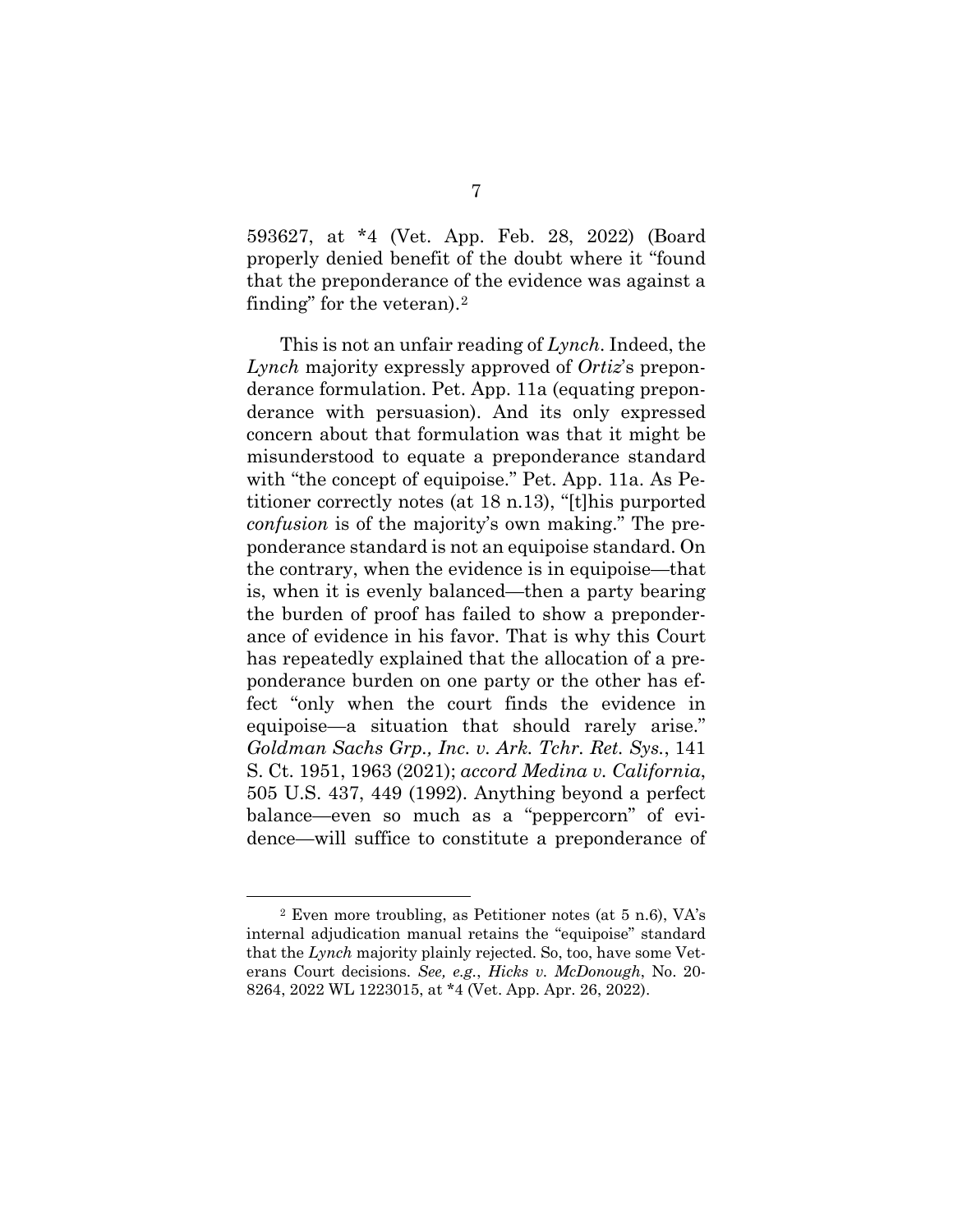593627, at \*4 (Vet. App. Feb. 28, 2022) (Board properly denied benefit of the doubt where it "found that the preponderance of the evidence was against a finding" for the veteran).[2](#page-11-3)

This is not an unfair reading of *Lynch*. Indeed, the *Lynch* majority expressly approved of *Ortiz*'s preponderance formulation. Pet. App. 11a (equating preponderance with persuasion). And its only expressed concern about that formulation was that it might be misunderstood to equate a preponderance standard with "the concept of equipoise." Pet. App. 11a. As Petitioner correctly notes (at 18 n.13), "[t]his purported *confusion* is of the majority's own making." The preponderance standard is not an equipoise standard. On the contrary, when the evidence is in equipoise—that is, when it is evenly balanced—then a party bearing the burden of proof has failed to show a preponderance of evidence in his favor. That is why this Court has repeatedly explained that the allocation of a preponderance burden on one party or the other has effect "only when the court finds the evidence in equipoise—a situation that should rarely arise." *Goldman Sachs Grp., Inc. v. Ark. Tchr. Ret. Sys.*, 141 S. Ct. 1951, 1963 (2021); *accord Medina v. California*, 505 U.S. 437, 449 (1992). Anything beyond a perfect balance—even so much as a "peppercorn" of evidence—will suffice to constitute a preponderance of

<span id="page-11-3"></span><span id="page-11-2"></span><span id="page-11-1"></span><span id="page-11-0"></span><sup>2</sup> Even more troubling, as Petitioner notes (at 5 n.6), VA's internal adjudication manual retains the "equipoise" standard that the *Lynch* majority plainly rejected. So, too, have some Veterans Court decisions. *See, e.g.*, *Hicks v. McDonough*, No. 20- 8264, 2022 WL 1223015, at \*4 (Vet. App. Apr. 26, 2022).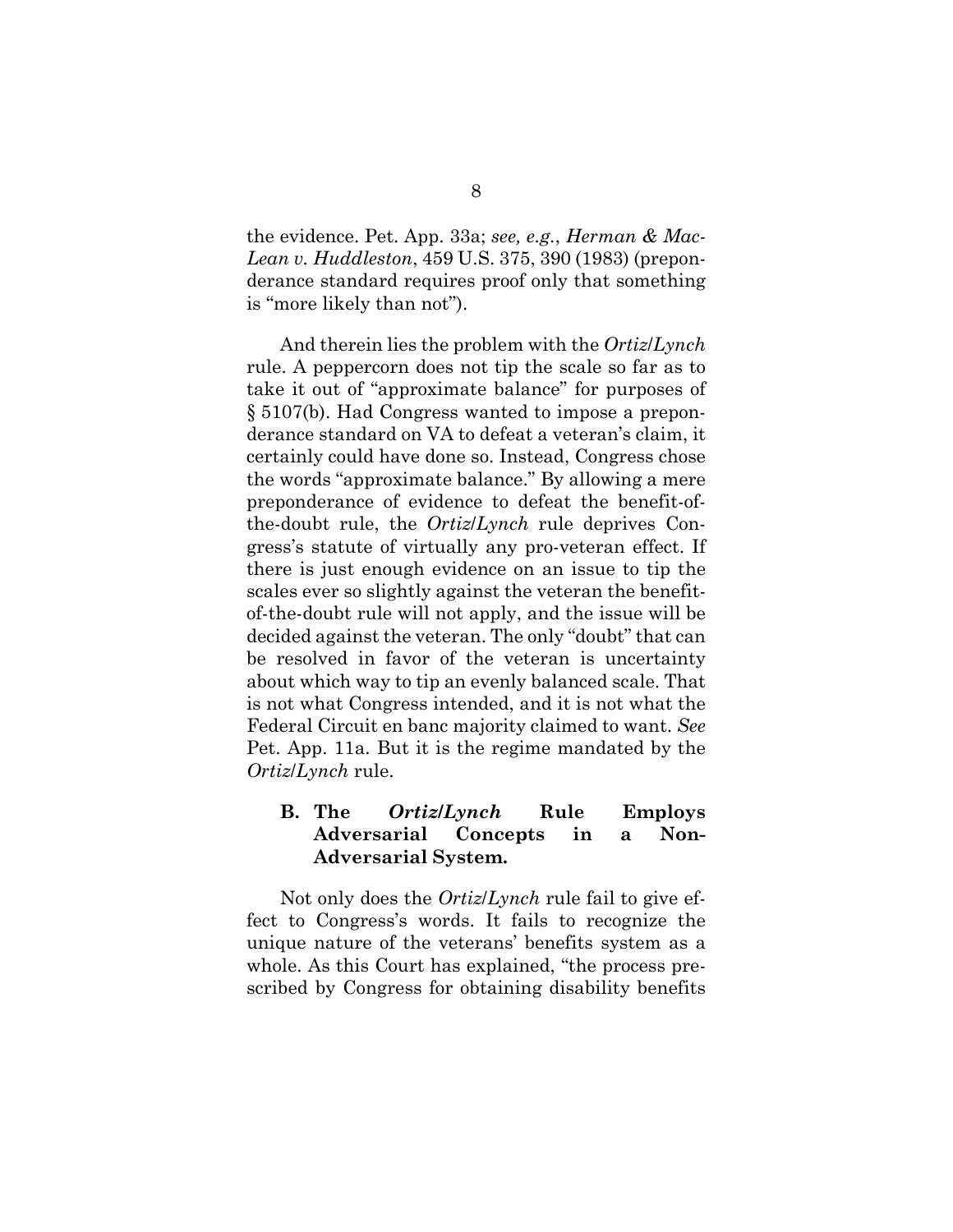<span id="page-12-1"></span>the evidence. Pet. App. 33a; *see, e.g.*, *Herman & Mac-Lean v. Huddleston*, 459 U.S. 375, 390 (1983) (preponderance standard requires proof only that something is "more likely than not").

<span id="page-12-2"></span>And therein lies the problem with the *Ortiz*/*Lynch*  rule. A peppercorn does not tip the scale so far as to take it out of "approximate balance" for purposes of § 5107(b). Had Congress wanted to impose a preponderance standard on VA to defeat a veteran's claim, it certainly could have done so. Instead, Congress chose the words "approximate balance." By allowing a mere preponderance of evidence to defeat the benefit-ofthe-doubt rule, the *Ortiz*/*Lynch* rule deprives Congress's statute of virtually any pro-veteran effect. If there is just enough evidence on an issue to tip the scales ever so slightly against the veteran the benefitof-the-doubt rule will not apply, and the issue will be decided against the veteran. The only "doubt" that can be resolved in favor of the veteran is uncertainty about which way to tip an evenly balanced scale. That is not what Congress intended, and it is not what the Federal Circuit en banc majority claimed to want. *See*  Pet. App. 11a. But it is the regime mandated by the *Ortiz*/*Lynch* rule.

### <span id="page-12-0"></span>**B. The** *Ortiz***/***Lynch* **Rule Employs Adversarial Concepts in a Non-Adversarial System.**

Not only does the *Ortiz*/*Lynch* rule fail to give effect to Congress's words. It fails to recognize the unique nature of the veterans' benefits system as a whole. As this Court has explained, "the process prescribed by Congress for obtaining disability benefits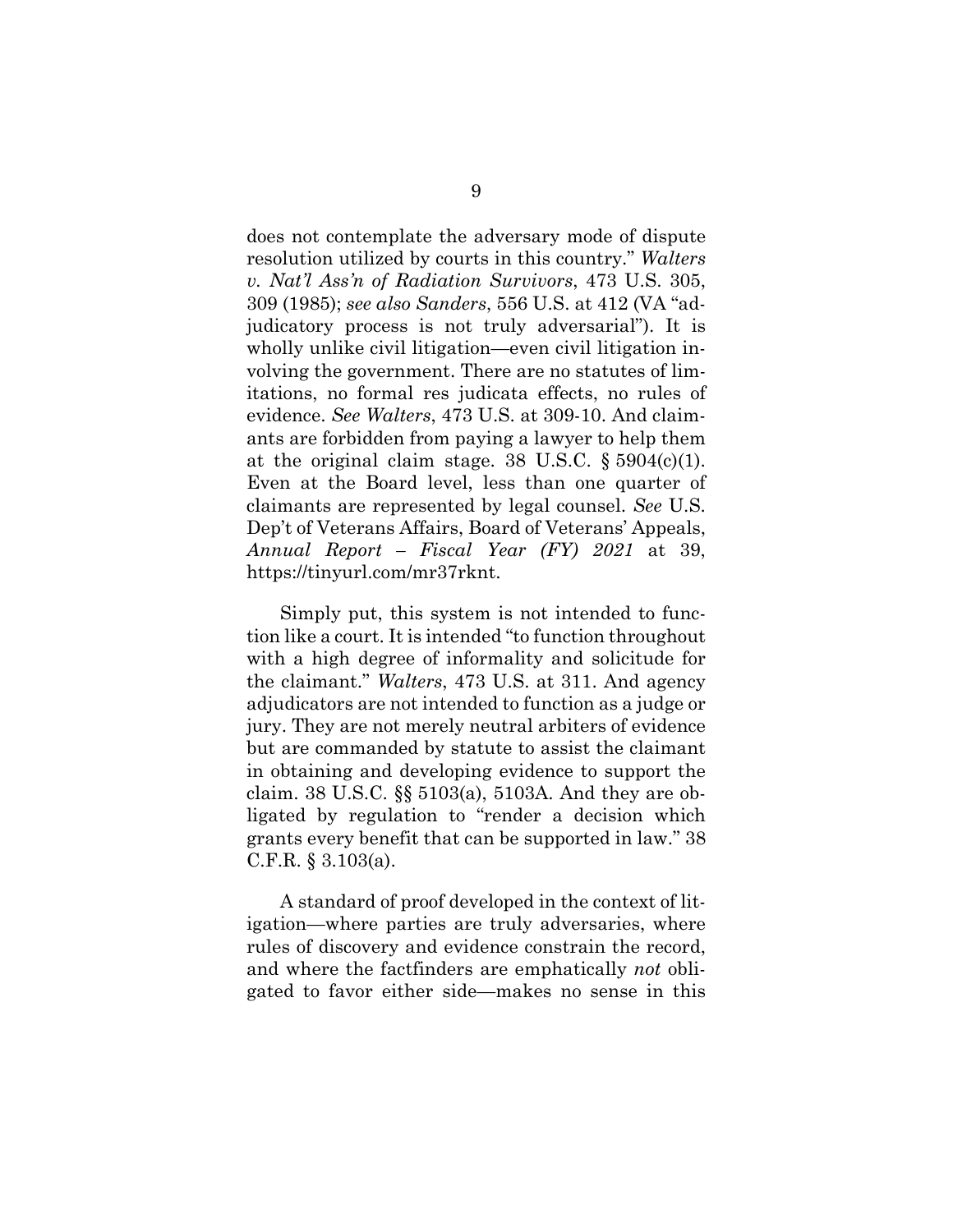<span id="page-13-1"></span><span id="page-13-0"></span>does not contemplate the adversary mode of dispute resolution utilized by courts in this country." *Walters v. Nat'l Ass'n of Radiation Survivors*, 473 U.S. 305, 309 (1985); *see also Sanders*, 556 U.S. at 412 (VA "adjudicatory process is not truly adversarial"). It is wholly unlike civil litigation—even civil litigation involving the government. There are no statutes of limitations, no formal res judicata effects, no rules of evidence. *See Walters*, 473 U.S. at 309-10. And claimants are forbidden from paying a lawyer to help them at the original claim stage. 38 U.S.C.  $\S 5904(c)(1)$ . Even at the Board level, less than one quarter of claimants are represented by legal counsel. *See* U.S. Dep't of Veterans Affairs, Board of Veterans' Appeals, *Annual Report – Fiscal Year (FY) 2021* at 39, https://tinyurl.com/mr37rknt.

<span id="page-13-5"></span><span id="page-13-3"></span>Simply put, this system is not intended to function like a court. It is intended "to function throughout with a high degree of informality and solicitude for the claimant." *Walters*, 473 U.S. at 311. And agency adjudicators are not intended to function as a judge or jury. They are not merely neutral arbiters of evidence but are commanded by statute to assist the claimant in obtaining and developing evidence to support the claim. 38 U.S.C. §§ 5103(a), 5103A. And they are obligated by regulation to "render a decision which grants every benefit that can be supported in law." 38 C.F.R. § 3.103(a).

<span id="page-13-4"></span><span id="page-13-2"></span>A standard of proof developed in the context of litigation—where parties are truly adversaries, where rules of discovery and evidence constrain the record, and where the factfinders are emphatically *not* obligated to favor either side—makes no sense in this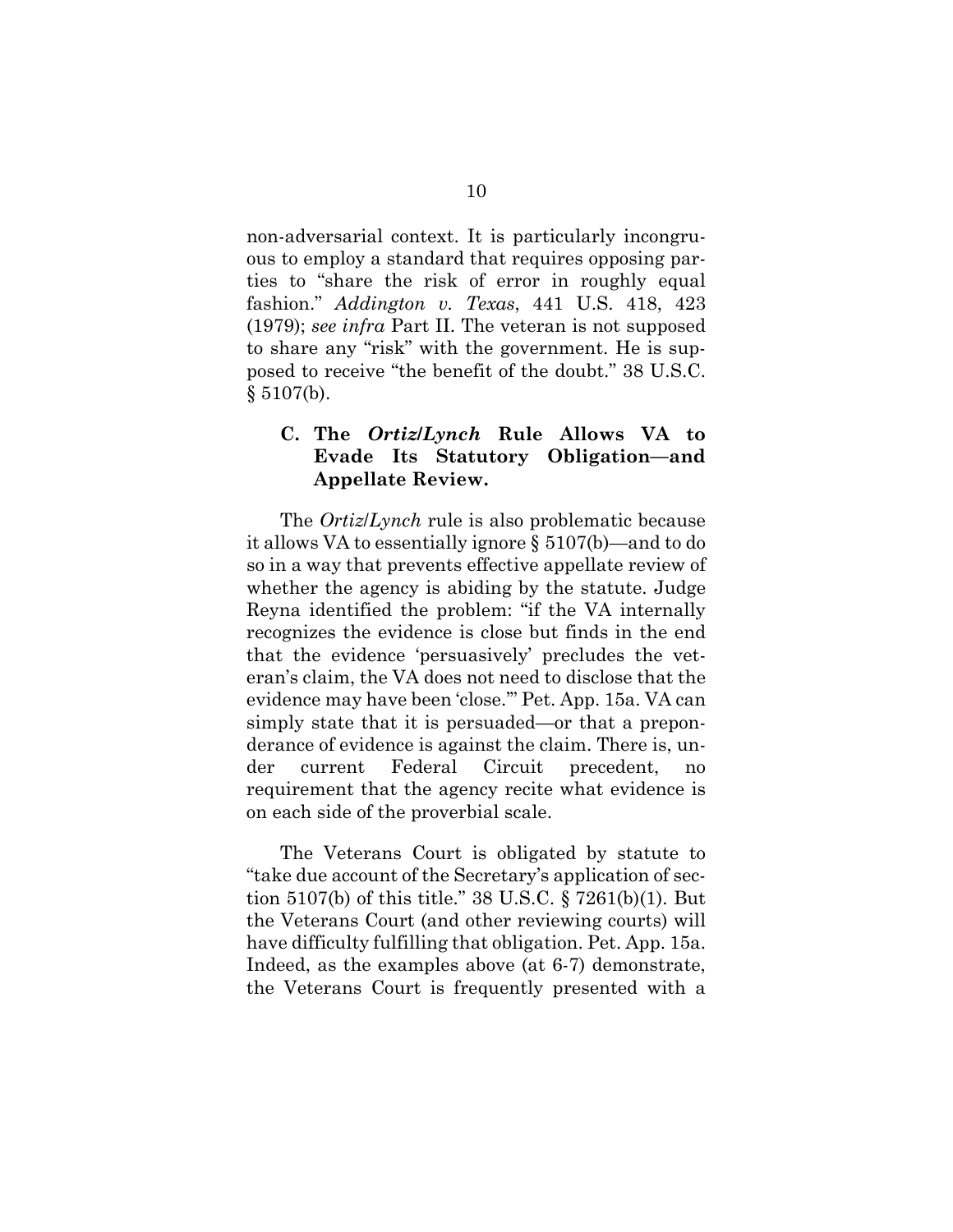<span id="page-14-1"></span>non-adversarial context. It is particularly incongruous to employ a standard that requires opposing parties to "share the risk of error in roughly equal fashion." *Addington v. Texas*, 441 U.S. 418, 423 (1979); *see infra* Part II. The veteran is not supposed to share any "risk" with the government. He is supposed to receive "the benefit of the doubt." 38 U.S.C.  $§ 5107(b).$ 

### <span id="page-14-2"></span><span id="page-14-0"></span>**C. The** *Ortiz***/***Lynch* **Rule Allows VA to Evade Its Statutory Obligation—and Appellate Review.**

The *Ortiz*/*Lynch* rule is also problematic because it allows VA to essentially ignore § 5107(b)—and to do so in a way that prevents effective appellate review of whether the agency is abiding by the statute. Judge Reyna identified the problem: "if the VA internally recognizes the evidence is close but finds in the end that the evidence 'persuasively' precludes the veteran's claim, the VA does not need to disclose that the evidence may have been 'close.'" Pet. App. 15a. VA can simply state that it is persuaded—or that a preponderance of evidence is against the claim. There is, under current Federal Circuit precedent, requirement that the agency recite what evidence is on each side of the proverbial scale.

<span id="page-14-3"></span>The Veterans Court is obligated by statute to "take due account of the Secretary's application of section 5107(b) of this title." 38 U.S.C. § 7261(b)(1). But the Veterans Court (and other reviewing courts) will have difficulty fulfilling that obligation. Pet. App. 15a. Indeed, as the examples above (at 6-7) demonstrate, the Veterans Court is frequently presented with a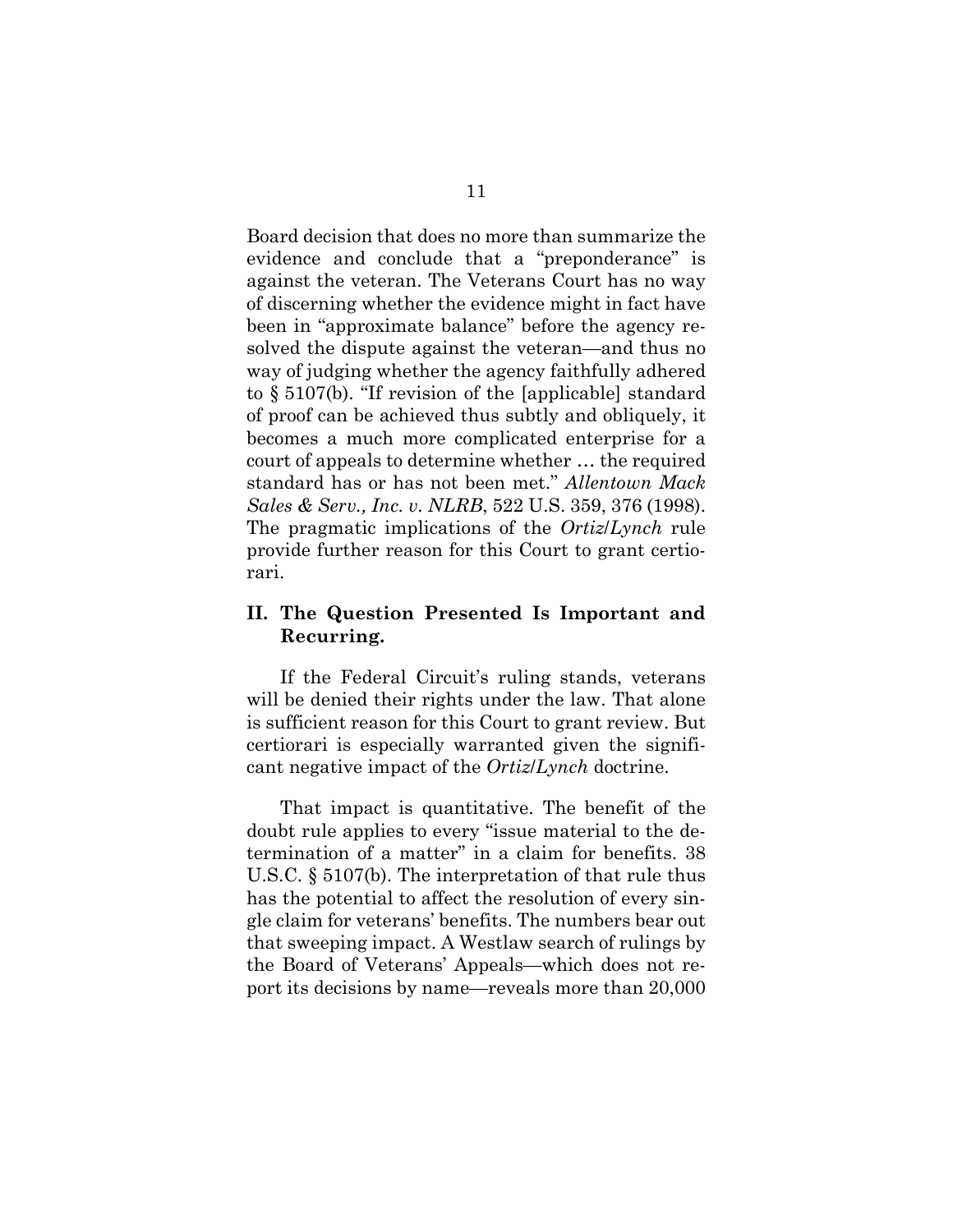<span id="page-15-2"></span>Board decision that does no more than summarize the evidence and conclude that a "preponderance" is against the veteran. The Veterans Court has no way of discerning whether the evidence might in fact have been in "approximate balance" before the agency resolved the dispute against the veteran—and thus no way of judging whether the agency faithfully adhered to § 5107(b). "If revision of the [applicable] standard of proof can be achieved thus subtly and obliquely, it becomes a much more complicated enterprise for a court of appeals to determine whether … the required standard has or has not been met." *Allentown Mack Sales & Serv., Inc. v. NLRB*, 522 U.S. 359, 376 (1998). The pragmatic implications of the *Ortiz*/*Lynch* rule provide further reason for this Court to grant certiorari.

### <span id="page-15-1"></span><span id="page-15-0"></span>**II. The Question Presented Is Important and Recurring.**

If the Federal Circuit's ruling stands, veterans will be denied their rights under the law. That alone is sufficient reason for this Court to grant review. But certiorari is especially warranted given the significant negative impact of the *Ortiz*/*Lynch* doctrine.

That impact is quantitative. The benefit of the doubt rule applies to every "issue material to the determination of a matter" in a claim for benefits. 38 U.S.C. § 5107(b). The interpretation of that rule thus has the potential to affect the resolution of every single claim for veterans' benefits. The numbers bear out that sweeping impact. A Westlaw search of rulings by the Board of Veterans' Appeals—which does not report its decisions by name—reveals more than 20,000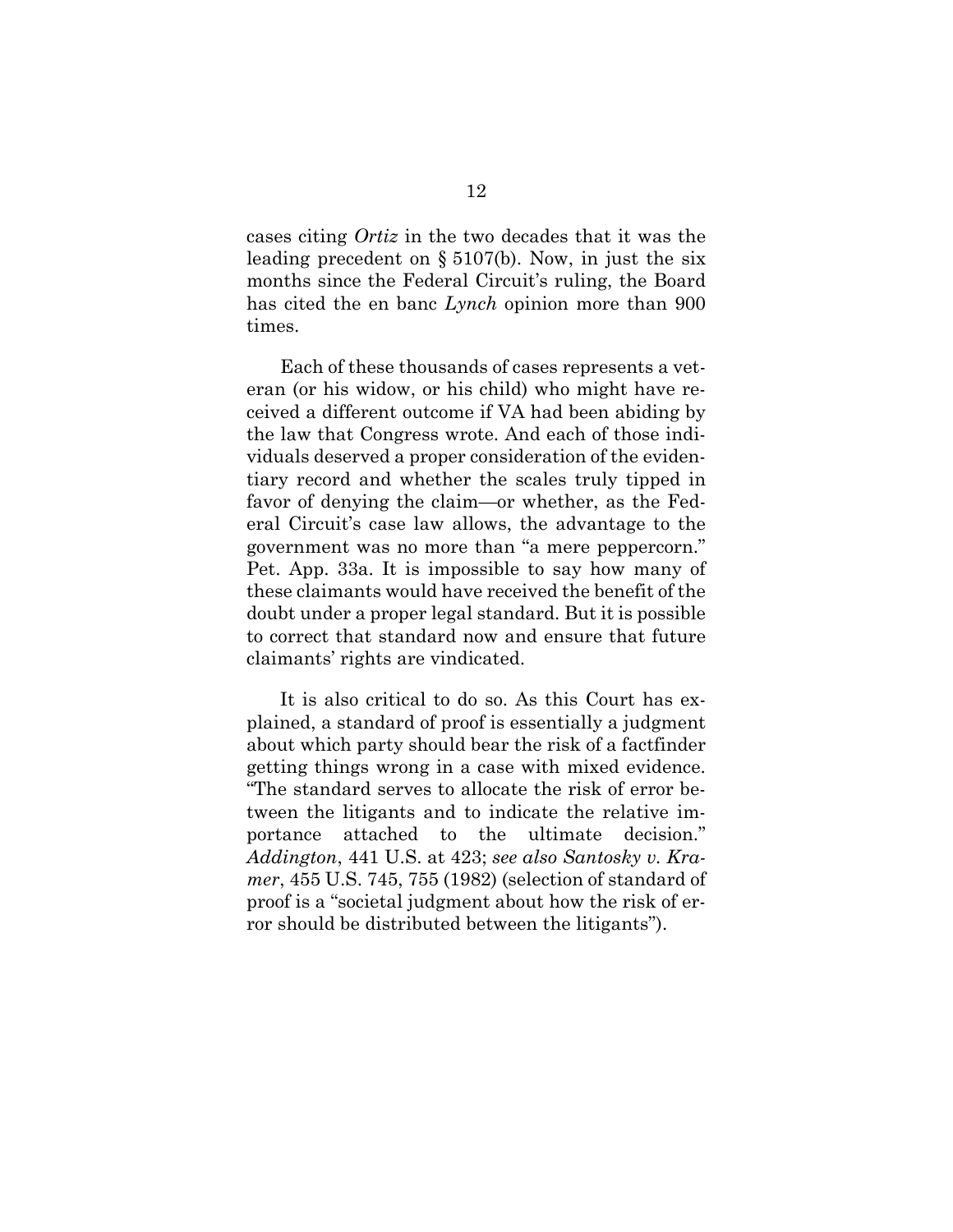<span id="page-16-2"></span>cases citing *Ortiz* in the two decades that it was the leading precedent on § 5107(b). Now, in just the six months since the Federal Circuit's ruling, the Board has cited the en banc *Lynch* opinion more than 900 times.

Each of these thousands of cases represents a veteran (or his widow, or his child) who might have received a different outcome if VA had been abiding by the law that Congress wrote. And each of those individuals deserved a proper consideration of the evidentiary record and whether the scales truly tipped in favor of denying the claim—or whether, as the Federal Circuit's case law allows, the advantage to the government was no more than "a mere peppercorn." Pet. App. 33a. It is impossible to say how many of these claimants would have received the benefit of the doubt under a proper legal standard. But it is possible to correct that standard now and ensure that future claimants' rights are vindicated.

<span id="page-16-1"></span><span id="page-16-0"></span>It is also critical to do so. As this Court has explained, a standard of proof is essentially a judgment about which party should bear the risk of a factfinder getting things wrong in a case with mixed evidence. "The standard serves to allocate the risk of error between the litigants and to indicate the relative importance attached to the ultimate decision." *Addington*, 441 U.S. at 423; *see also Santosky v. Kramer*, 455 U.S. 745, 755 (1982) (selection of standard of proof is a "societal judgment about how the risk of error should be distributed between the litigants").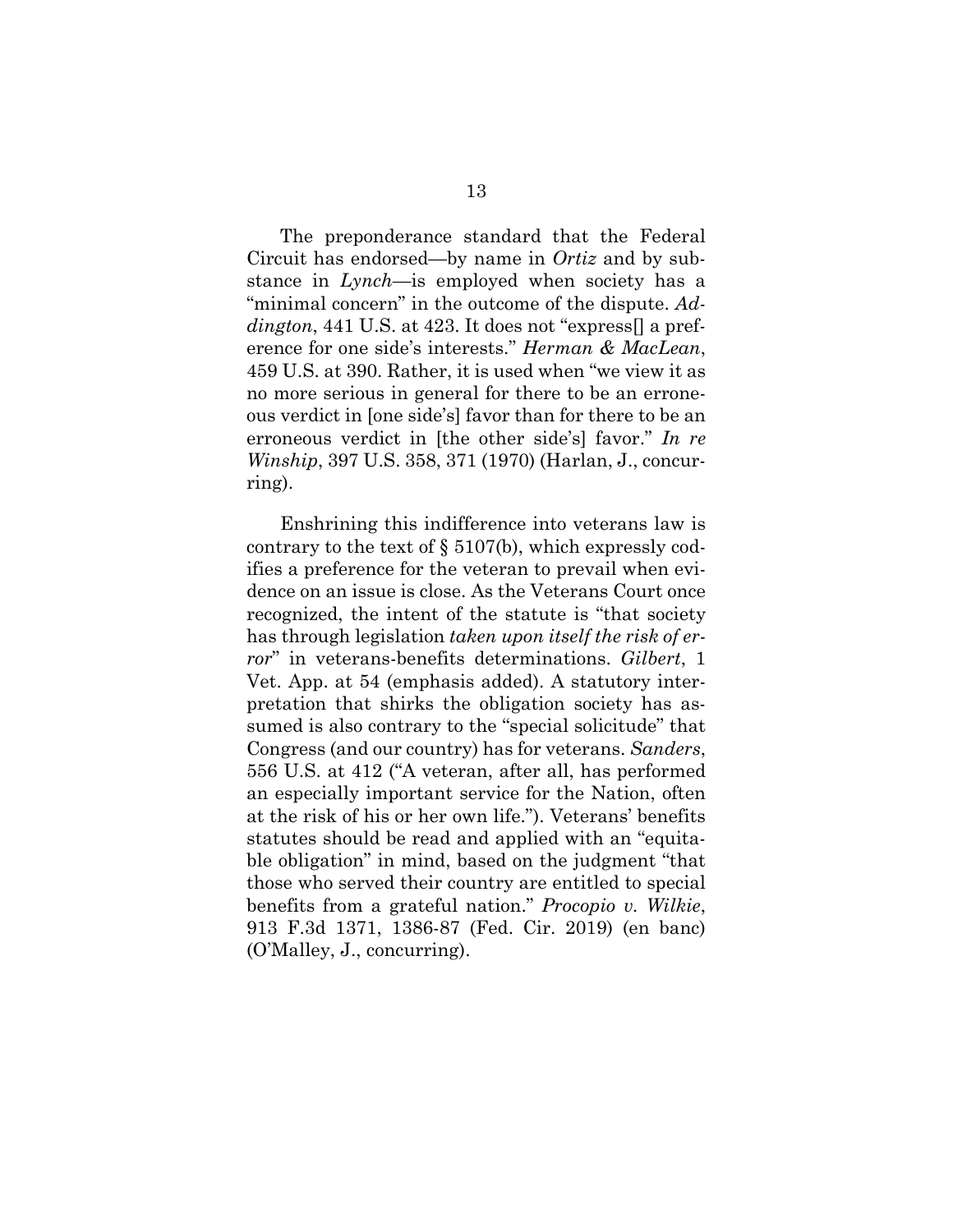<span id="page-17-2"></span><span id="page-17-0"></span>The preponderance standard that the Federal Circuit has endorsed—by name in *Ortiz* and by substance in *Lynch*—is employed when society has a "minimal concern" in the outcome of the dispute. *Addington*, 441 U.S. at 423. It does not "express[] a preference for one side's interests." *Herman & MacLean*, 459 U.S. at 390. Rather, it is used when "we view it as no more serious in general for there to be an erroneous verdict in [one side's] favor than for there to be an erroneous verdict in [the other side's] favor." *In re Winship*, 397 U.S. 358, 371 (1970) (Harlan, J., concurring).

<span id="page-17-6"></span><span id="page-17-5"></span><span id="page-17-4"></span><span id="page-17-3"></span><span id="page-17-1"></span>Enshrining this indifference into veterans law is contrary to the text of  $\S 5107(b)$ , which expressly codifies a preference for the veteran to prevail when evidence on an issue is close. As the Veterans Court once recognized, the intent of the statute is "that society has through legislation *taken upon itself the risk of error*" in veterans-benefits determinations. *Gilbert*, 1 Vet. App. at 54 (emphasis added). A statutory interpretation that shirks the obligation society has assumed is also contrary to the "special solicitude" that Congress (and our country) has for veterans. *Sanders*, 556 U.S. at 412 ("A veteran, after all, has performed an especially important service for the Nation, often at the risk of his or her own life."). Veterans' benefits statutes should be read and applied with an "equitable obligation" in mind, based on the judgment "that those who served their country are entitled to special benefits from a grateful nation." *Procopio v. Wilkie*, 913 F.3d 1371, 1386-87 (Fed. Cir. 2019) (en banc) (O'Malley, J., concurring).